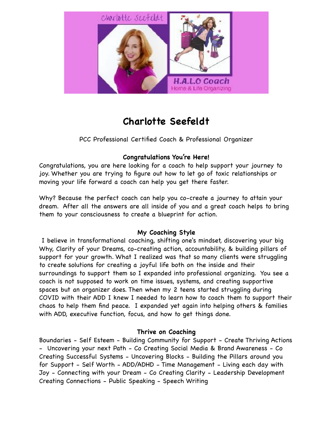

# **Charlotte Seefeldt**

PCC Professional Certified Coach & Professional Organizer

## **Congratulations You're Here!**

Congratulations, you are here looking for a coach to help support your journey to joy. Whether you are trying to figure out how to let go of toxic relationships or moving your life forward a coach can help you get there faster.

Why? Because the perfect coach can help you co-create a journey to attain your dream. After all the answers are all inside of you and a great coach helps to bring them to your consciousness to create a blueprint for action.

## **My Coaching Style**

 I believe in transformational coaching, shifting one's mindset, discovering your big Why, Clarity of your Dreams, co-creating action, accountability, & building pillars of support for your growth. What I realized was that so many clients were struggling to create solutions for creating a joyful life both on the inside and their surroundings to support them so I expanded into professional organizing. You see a coach is not supposed to work on time issues, systems, and creating supportive spaces but an organizer does. Then when my 2 teens started struggling during COVID with their ADD I knew I needed to learn how to coach them to support their chaos to help them find peace. I expanded yet again into helping others & families with ADD, executive function, focus, and how to get things done.

## **Thrive on Coaching**

Boundaries - Self Esteem - Building Community for Support - Create Thriving Actions - Uncovering your next Path - Co Creating Social Media & Brand Awareness - Co Creating Successful Systems - Uncovering Blocks - Building the Pillars around you for Support - Self Worth - ADD/ADHD - Time Management - Living each day with Joy - Connecting with your Dream - Co Creating Clarity - Leadership Development Creating Connections - Public Speaking - Speech Writing